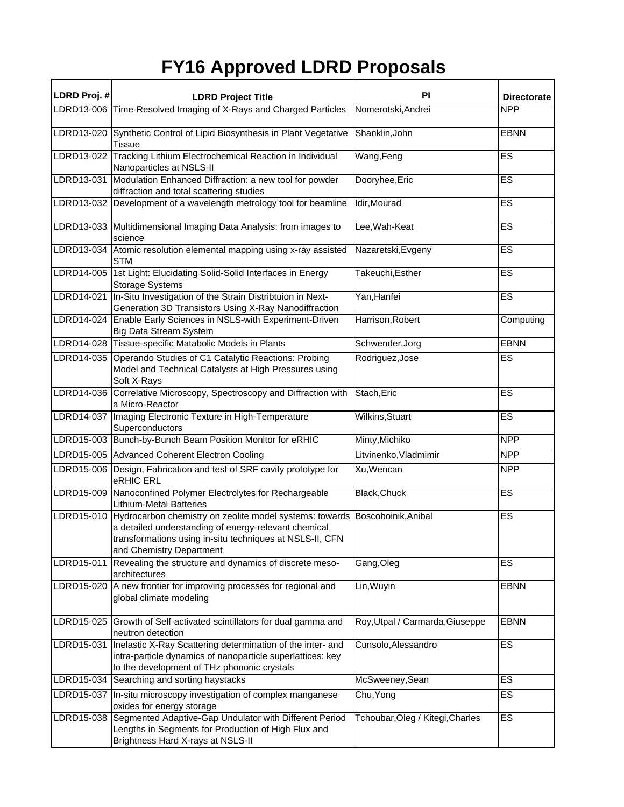## **FY16 Approved LDRD Proposals**

| LDRD Proj. # | <b>LDRD Project Title</b>                                                                                                                                                                                                   | <b>PI</b>                        | <b>Directorate</b> |
|--------------|-----------------------------------------------------------------------------------------------------------------------------------------------------------------------------------------------------------------------------|----------------------------------|--------------------|
|              | LDRD13-006 Time-Resolved Imaging of X-Rays and Charged Particles                                                                                                                                                            | Nomerotski, Andrei               | <b>NPP</b>         |
|              | LDRD13-020 Synthetic Control of Lipid Biosynthesis in Plant Vegetative<br><b>Tissue</b>                                                                                                                                     | Shanklin, John                   | <b>EBNN</b>        |
|              | LDRD13-022 Tracking Lithium Electrochemical Reaction in Individual<br>Nanoparticles at NSLS-II                                                                                                                              | Wang, Feng                       | ES                 |
| LDRD13-031   | Modulation Enhanced Diffraction: a new tool for powder<br>diffraction and total scattering studies                                                                                                                          | Dooryhee, Eric                   | ES                 |
| LDRD13-032   | Development of a wavelength metrology tool for beamline                                                                                                                                                                     | Idir, Mourad                     | ES                 |
|              | LDRD13-033 Multidimensional Imaging Data Analysis: from images to<br>science                                                                                                                                                | Lee, Wah-Keat                    | ES                 |
|              | LDRD13-034 Atomic resolution elemental mapping using x-ray assisted<br><b>STM</b>                                                                                                                                           | Nazaretski, Evgeny               | ES                 |
|              | LDRD14-005 1st Light: Elucidating Solid-Solid Interfaces in Energy<br><b>Storage Systems</b>                                                                                                                                | Takeuchi, Esther                 | ES                 |
| LDRD14-021   | In-Situ Investigation of the Strain Distribtuion in Next-<br>Generation 3D Transistors Using X-Ray Nanodiffraction                                                                                                          | Yan, Hanfei                      | ES                 |
|              | LDRD14-024 Enable Early Sciences in NSLS-with Experiment-Driven<br>Big Data Stream System                                                                                                                                   | Harrison, Robert                 | Computing          |
|              | LDRD14-028 Tissue-specific Matabolic Models in Plants                                                                                                                                                                       | Schwender, Jorg                  | <b>EBNN</b>        |
|              | LDRD14-035 Operando Studies of C1 Catalytic Reactions: Probing<br>Model and Technical Catalysts at High Pressures using<br>Soft X-Rays                                                                                      | Rodriguez, Jose                  | ES                 |
|              | LDRD14-036 Correlative Microscopy, Spectroscopy and Diffraction with<br>a Micro-Reactor                                                                                                                                     | Stach, Eric                      | ES                 |
|              | LDRD14-037 Imaging Electronic Texture in High-Temperature<br>Superconductors                                                                                                                                                | Wilkins, Stuart                  | ES                 |
|              | LDRD15-003 Bunch-by-Bunch Beam Position Monitor for eRHIC                                                                                                                                                                   | Minty, Michiko                   | <b>NPP</b>         |
|              | LDRD15-005 Advanced Coherent Electron Cooling                                                                                                                                                                               | Litvinenko, Vladmimir            | <b>NPP</b>         |
|              | LDRD15-006 Design, Fabrication and test of SRF cavity prototype for<br>eRHIC ERL                                                                                                                                            | Xu, Wencan                       | <b>NPP</b>         |
|              | LDRD15-009 Nanoconfined Polymer Electrolytes for Rechargeable<br><b>Lithium-Metal Batteries</b>                                                                                                                             | Black, Chuck                     | ES                 |
| LDRD15-010   | Hydrocarbon chemistry on zeolite model systems: towards Boscoboinik, Anibal<br>a detailed understanding of energy-relevant chemical<br>transformations using in-situ techniques at NSLS-II, CFN<br>and Chemistry Department |                                  | ES                 |
| LDRD15-011   | Revealing the structure and dynamics of discrete meso-<br>architectures                                                                                                                                                     | Gang, Oleg                       | ES                 |
|              | LDRD15-020 A new frontier for improving processes for regional and<br>global climate modeling                                                                                                                               | Lin, Wuyin                       | <b>EBNN</b>        |
|              | LDRD15-025 Growth of Self-activated scintillators for dual gamma and<br>neutron detection                                                                                                                                   | Roy, Utpal / Carmarda, Giuseppe  | <b>EBNN</b>        |
|              | LDRD15-031 Inelastic X-Ray Scattering determination of the inter- and<br>intra-particle dynamics of nanoparticle superlattices: key<br>to the development of THz phononic crystals                                          | Cunsolo, Alessandro              | ES                 |
|              | LDRD15-034 Searching and sorting haystacks                                                                                                                                                                                  | McSweeney, Sean                  | <b>ES</b>          |
|              | LDRD15-037 In-situ microscopy investigation of complex manganese<br>oxides for energy storage                                                                                                                               | Chu, Yong                        | ES                 |
|              | LDRD15-038 Segmented Adaptive-Gap Undulator with Different Period<br>Lengths in Segments for Production of High Flux and<br>Brightness Hard X-rays at NSLS-II                                                               | Tchoubar, Oleg / Kitegi, Charles | ES                 |